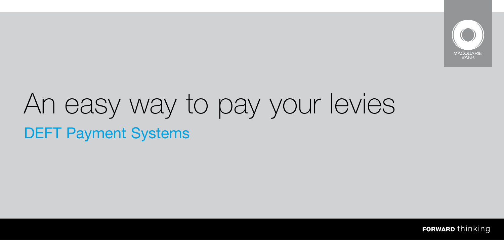

# An easy way to pay your levies DEFT Payment Systems